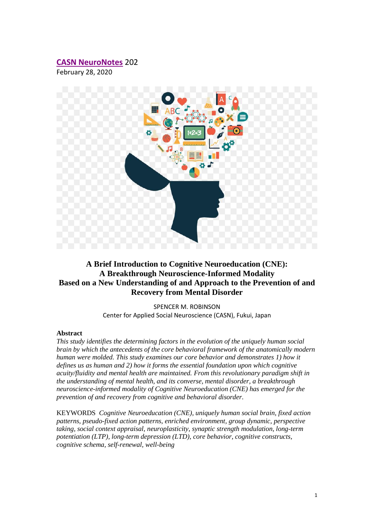# **[CASN NeuroNotes](https://www.brain-mind-behavior.org/casn-neuronotes)** 202

February 28, 2020



# **A Brief Introduction to Cognitive Neuroeducation (CNE): A Breakthrough Neuroscience-Informed Modality Based on a New Understanding of and Approach to the Prevention of and Recovery from Mental Disorder**

SPENCER M. ROBINSON Center for Applied Social Neuroscience (CASN), Fukui, Japan

#### **Abstract**

*This study identifies the determining factors in the evolution of the uniquely human social brain by which the antecedents of the core behavioral framework of the anatomically modern human were molded. This study examines our core behavior and demonstrates 1) how it defines us as human and 2) how it forms the essential foundation upon which cognitive acuity/fluidity and mental health are maintained. From this revolutionary paradigm shift in the understanding of mental health, and its converse, mental disorder, a breakthrough neuroscience-informed modality of Cognitive Neuroeducation (CNE) has emerged for the prevention of and recovery from cognitive and behavioral disorder.*

KEYWORDS *Cognitive Neuroeducation (CNE), uniquely human social brain, fixed action patterns, pseudo-fixed action patterns, enriched environment, group dynamic, perspective taking, social context appraisal, neuroplasticity, synaptic strength modulation, long-term potentiation (LTP), long-term depression (LTD), core behavior, cognitive constructs, cognitive schema, self-renewal, well-being*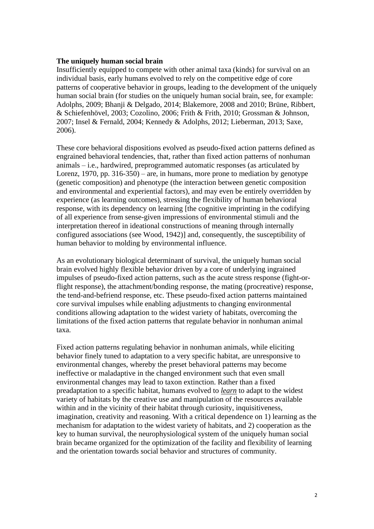#### **The uniquely human social brain**

Insufficiently equipped to compete with other animal taxa (kinds) for survival on an individual basis, early humans evolved to rely on the competitive edge of core patterns of cooperative behavior in groups, leading to the development of the uniquely human social brain (for studies on the uniquely human social brain, see, for example: Adolphs, 2009; Bhanji & Delgado, 2014; Blakemore, 2008 and 2010; Brüne, Ribbert, & Schiefenhövel, 2003; Cozolino, 2006; Frith & Frith, 2010; Grossman & Johnson, 2007; Insel & Fernald, 2004; Kennedy & Adolphs, 2012; Lieberman, 2013; Saxe, 2006).

These core behavioral dispositions evolved as pseudo-fixed action patterns defined as engrained behavioral tendencies, that, rather than fixed action patterns of nonhuman animals – i.e., hardwired, preprogrammed automatic responses (as articulated by Lorenz,  $1970$ , pp.  $316-350$ ) – are, in humans, more prone to mediation by genotype (genetic composition) and phenotype (the interaction between genetic composition and environmental and experiential factors), and may even be entirely overridden by experience (as learning outcomes), stressing the flexibility of human behavioral response, with its dependency on learning [the cognitive imprinting in the codifying of all experience from sense-given impressions of environmental stimuli and the interpretation thereof in ideational constructions of meaning through internally configured associations (see Wood, 1942)] and, consequently, the susceptibility of human behavior to molding by environmental influence.

As an evolutionary biological determinant of survival, the uniquely human social brain evolved highly flexible behavior driven by a core of underlying ingrained impulses of pseudo-fixed action patterns, such as the acute stress response (fight-orflight response), the attachment/bonding response, the mating (procreative) response, the tend-and-befriend response, etc. These pseudo-fixed action patterns maintained core survival impulses while enabling adjustments to changing environmental conditions allowing adaptation to the widest variety of habitats, overcoming the limitations of the fixed action patterns that regulate behavior in nonhuman animal taxa.

Fixed action patterns regulating behavior in nonhuman animals, while eliciting behavior finely tuned to adaptation to a very specific habitat, are unresponsive to environmental changes, whereby the preset behavioral patterns may become ineffective or maladaptive in the changed environment such that even small environmental changes may lead to taxon extinction. Rather than a fixed preadaptation to a specific habitat, humans evolved to *learn* to adapt to the widest variety of habitats by the creative use and manipulation of the resources available within and in the vicinity of their habitat through curiosity, inquisitiveness, imagination, creativity and reasoning. With a critical dependence on 1) learning as the mechanism for adaptation to the widest variety of habitats, and 2) cooperation as the key to human survival, the neurophysiological system of the uniquely human social brain became organized for the optimization of the facility and flexibility of learning and the orientation towards social behavior and structures of community.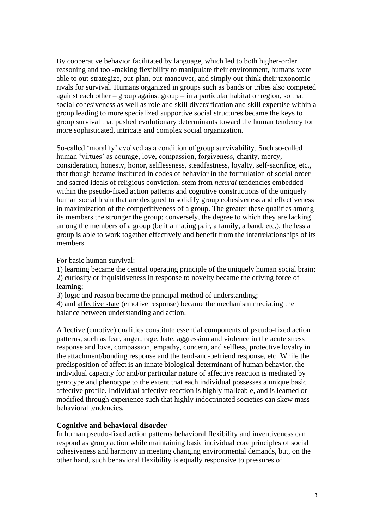By cooperative behavior facilitated by language, which led to both higher-order reasoning and tool-making flexibility to manipulate their environment, humans were able to out-strategize, out-plan, out-maneuver, and simply out-think their taxonomic rivals for survival. Humans organized in groups such as bands or tribes also competed against each other – group against group – in a particular habitat or region, so that social cohesiveness as well as role and skill diversification and skill expertise within a group leading to more specialized supportive social structures became the keys to group survival that pushed evolutionary determinants toward the human tendency for more sophisticated, intricate and complex social organization.

So-called 'morality' evolved as a condition of group survivability. Such so-called human 'virtues' as courage, love, compassion, forgiveness, charity, mercy, consideration, honesty, honor, selflessness, steadfastness, loyalty, self-sacrifice, etc., that though became instituted in codes of behavior in the formulation of social order and sacred ideals of religious conviction, stem from *natural* tendencies embedded within the pseudo-fixed action patterns and cognitive constructions of the uniquely human social brain that are designed to solidify group cohesiveness and effectiveness in maximization of the competitiveness of a group. The greater these qualities among its members the stronger the group; conversely, the degree to which they are lacking among the members of a group (be it a mating pair, a family, a band, etc.), the less a group is able to work together effectively and benefit from the interrelationships of its members.

For basic human survival:

1) learning became the central operating principle of the uniquely human social brain; 2) curiosity or inquisitiveness in response to novelty became the driving force of learning;

3) logic and reason became the principal method of understanding;

4) and affective state (emotive response) became the mechanism mediating the balance between understanding and action.

Affective (emotive) qualities constitute essential components of pseudo-fixed action patterns, such as fear, anger, rage, hate, aggression and violence in the acute stress response and love, compassion, empathy, concern, and selfless, protective loyalty in the attachment/bonding response and the tend-and-befriend response, etc. While the predisposition of affect is an innate biological determinant of human behavior, the individual capacity for and/or particular nature of affective reaction is mediated by genotype and phenotype to the extent that each individual possesses a unique basic affective profile. Individual affective reaction is highly malleable, and is learned or modified through experience such that highly indoctrinated societies can skew mass behavioral tendencies.

## **Cognitive and behavioral disorder**

In human pseudo-fixed action patterns behavioral flexibility and inventiveness can respond as group action while maintaining basic individual core principles of social cohesiveness and harmony in meeting changing environmental demands, but, on the other hand, such behavioral flexibility is equally responsive to pressures of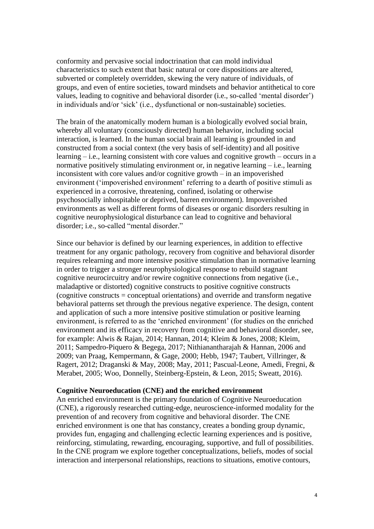conformity and pervasive social indoctrination that can mold individual characteristics to such extent that basic natural or core dispositions are altered, subverted or completely overridden, skewing the very nature of individuals, of groups, and even of entire societies, toward mindsets and behavior antithetical to core values, leading to cognitive and behavioral disorder (i.e., so-called 'mental disorder') in individuals and/or 'sick' (i.e., dysfunctional or non-sustainable) societies.

The brain of the anatomically modern human is a biologically evolved social brain, whereby all voluntary (consciously directed) human behavior, including social interaction, is learned. In the human social brain all learning is grounded in and constructed from a social context (the very basis of self-identity) and all positive learning – i.e., learning consistent with core values and cognitive growth – occurs in a normative positively stimulating environment or, in negative learning – i.e., learning inconsistent with core values and/or cognitive growth – in an impoverished environment ('impoverished environment' referring to a dearth of positive stimuli as experienced in a corrosive, threatening, confined, isolating or otherwise psychosocially inhospitable or deprived, barren environment). Impoverished environments as well as different forms of diseases or organic disorders resulting in cognitive neurophysiological disturbance can lead to cognitive and behavioral disorder; i.e., so-called "mental disorder."

Since our behavior is defined by our learning experiences, in addition to effective treatment for any organic pathology, recovery from cognitive and behavioral disorder requires relearning and more intensive positive stimulation than in normative learning in order to trigger a stronger neurophysiological response to rebuild stagnant cognitive neurocircuitry and/or rewire cognitive connections from negative (i.e., maladaptive or distorted) cognitive constructs to positive cognitive constructs (cognitive constructs = conceptual orientations) and override and transform negative behavioral patterns set through the previous negative experience. The design, content and application of such a more intensive positive stimulation or positive learning environment, is referred to as the 'enriched environment' (for studies on the enriched environment and its efficacy in recovery from cognitive and behavioral disorder, see, for example: Alwis & Rajan, 2014; Hannan, 2014; Kleim & Jones, 2008; Kleim, 2011; Sampedro-Piquero & Begega, 2017; Nithianantharajah & Hannan, 2006 and 2009; van Praag, Kempermann, & Gage, 2000; Hebb, 1947; Taubert, Villringer, & Ragert, 2012; Draganski & May, 2008; May, 2011; Pascual-Leone, Amedi, Fregni, & Merabet, 2005; Woo, Donnelly, Steinberg-Epstein, & Leon, 2015; Sweatt, 2016).

## **Cognitive Neuroeducation (CNE) and the enriched environment**

An enriched environment is the primary foundation of Cognitive Neuroeducation (CNE), a rigorously researched cutting-edge, neuroscience-informed modality for the prevention of and recovery from cognitive and behavioral disorder. The CNE enriched environment is one that has constancy, creates a bonding group dynamic, provides fun, engaging and challenging eclectic learning experiences and is positive, reinforcing, stimulating, rewarding, encouraging, supportive, and full of possibilities. In the CNE program we explore together conceptualizations, beliefs, modes of social interaction and interpersonal relationships, reactions to situations, emotive contours,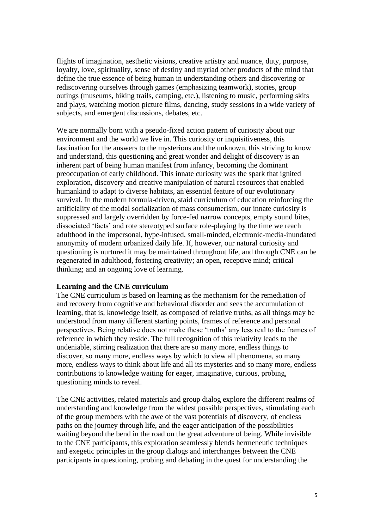flights of imagination, aesthetic visions, creative artistry and nuance, duty, purpose, loyalty, love, spirituality, sense of destiny and myriad other products of the mind that define the true essence of being human in understanding others and discovering or rediscovering ourselves through games (emphasizing teamwork), stories, group outings (museums, hiking trails, camping, etc.), listening to music, performing skits and plays, watching motion picture films, dancing, study sessions in a wide variety of subjects, and emergent discussions, debates, etc.

We are normally born with a pseudo-fixed action pattern of curiosity about our environment and the world we live in. This curiosity or inquisitiveness, this fascination for the answers to the mysterious and the unknown, this striving to know and understand, this questioning and great wonder and delight of discovery is an inherent part of being human manifest from infancy, becoming the dominant preoccupation of early childhood. This innate curiosity was the spark that ignited exploration, discovery and creative manipulation of natural resources that enabled humankind to adapt to diverse habitats, an essential feature of our evolutionary survival. In the modern formula-driven, staid curriculum of education reinforcing the artificiality of the modal socialization of mass consumerism, our innate curiosity is suppressed and largely overridden by force-fed narrow concepts, empty sound bites, dissociated 'facts' and rote stereotyped surface role-playing by the time we reach adulthood in the impersonal, hype-infused, small-minded, electronic-media-inundated anonymity of modern urbanized daily life. If, however, our natural curiosity and questioning is nurtured it may be maintained throughout life, and through CNE can be regenerated in adulthood, fostering creativity; an open, receptive mind; critical thinking; and an ongoing love of learning.

# **Learning and the CNE curriculum**

The CNE curriculum is based on learning as the mechanism for the remediation of and recovery from cognitive and behavioral disorder and sees the accumulation of learning, that is, knowledge itself, as composed of relative truths, as all things may be understood from many different starting points, frames of reference and personal perspectives. Being relative does not make these 'truths' any less real to the frames of reference in which they reside. The full recognition of this relativity leads to the undeniable, stirring realization that there are so many more, endless things to discover, so many more, endless ways by which to view all phenomena, so many more, endless ways to think about life and all its mysteries and so many more, endless contributions to knowledge waiting for eager, imaginative, curious, probing, questioning minds to reveal.

The CNE activities, related materials and group dialog explore the different realms of understanding and knowledge from the widest possible perspectives, stimulating each of the group members with the awe of the vast potentials of discovery, of endless paths on the journey through life, and the eager anticipation of the possibilities waiting beyond the bend in the road on the great adventure of being. While invisible to the CNE participants, this exploration seamlessly blends hermeneutic techniques and exegetic principles in the group dialogs and interchanges between the CNE participants in questioning, probing and debating in the quest for understanding the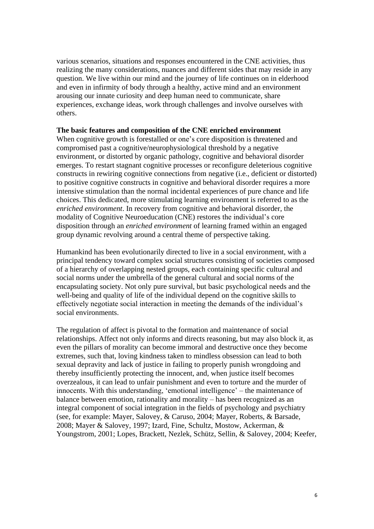various scenarios, situations and responses encountered in the CNE activities, thus realizing the many considerations, nuances and different sides that may reside in any question. We live within our mind and the journey of life continues on in elderhood and even in infirmity of body through a healthy, active mind and an environment arousing our innate curiosity and deep human need to communicate, share experiences, exchange ideas, work through challenges and involve ourselves with others.

#### **The basic features and composition of the CNE enriched environment**

When cognitive growth is forestalled or one's core disposition is threatened and compromised past a cognitive/neurophysiological threshold by a negative environment, or distorted by organic pathology, cognitive and behavioral disorder emerges. To restart stagnant cognitive processes or reconfigure deleterious cognitive constructs in rewiring cognitive connections from negative (i.e., deficient or distorted) to positive cognitive constructs in cognitive and behavioral disorder requires a more intensive stimulation than the normal incidental experiences of pure chance and life choices. This dedicated, more stimulating learning environment is referred to as the *enriched environment*. In recovery from cognitive and behavioral disorder, the modality of Cognitive Neuroeducation (CNE) restores the individual's core disposition through an *enriched environment* of learning framed within an engaged group dynamic revolving around a central theme of perspective taking.

Humankind has been evolutionarily directed to live in a social environment, with a principal tendency toward complex social structures consisting of societies composed of a hierarchy of overlapping nested groups, each containing specific cultural and social norms under the umbrella of the general cultural and social norms of the encapsulating society. Not only pure survival, but basic psychological needs and the well-being and quality of life of the individual depend on the cognitive skills to effectively negotiate social interaction in meeting the demands of the individual's social environments.

The regulation of affect is pivotal to the formation and maintenance of social relationships. Affect not only informs and directs reasoning, but may also block it, as even the pillars of morality can become immoral and destructive once they become extremes, such that, loving kindness taken to mindless obsession can lead to both sexual depravity and lack of justice in failing to properly punish wrongdoing and thereby insufficiently protecting the innocent, and, when justice itself becomes overzealous, it can lead to unfair punishment and even to torture and the murder of innocents. With this understanding, 'emotional intelligence' – the maintenance of balance between emotion, rationality and morality – has been recognized as an integral component of social integration in the fields of psychology and psychiatry (see, for example: Mayer, Salovey, & Caruso, 2004; Mayer, Roberts, & Barsade, 2008; Mayer & Salovey, 1997; Izard, Fine, Schultz, Mostow, Ackerman, & Youngstrom, 2001; Lopes, Brackett, Nezlek, Schütz, Sellin, & Salovey, 2004; Keefer,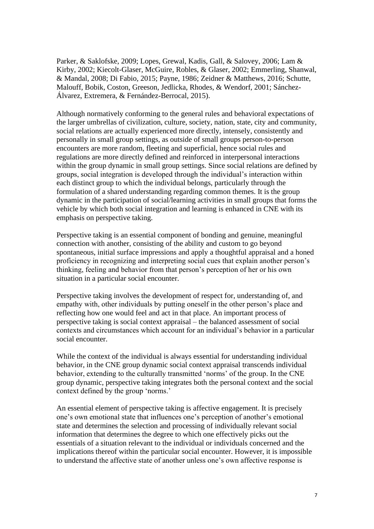Parker, & Saklofske, 2009; Lopes, Grewal, Kadis, Gall, & Salovey, 2006; Lam & Kirby, 2002; Kiecolt-Glaser, McGuire, Robles, & Glaser, 2002; Emmerling, Shanwal, & Mandal, 2008; Di Fabio, 2015; Payne, 1986; Zeidner & Matthews, 2016; Schutte, Malouff, Bobik, Coston, Greeson, Jedlicka, Rhodes, & Wendorf, 2001; Sánchez-Álvarez, Extremera, & Fernández-Berrocal, 2015).

Although normatively conforming to the general rules and behavioral expectations of the larger umbrellas of civilization, culture, society, nation, state, city and community, social relations are actually experienced more directly, intensely, consistently and personally in small group settings, as outside of small groups person-to-person encounters are more random, fleeting and superficial, hence social rules and regulations are more directly defined and reinforced in interpersonal interactions within the group dynamic in small group settings. Since social relations are defined by groups, social integration is developed through the individual's interaction within each distinct group to which the individual belongs, particularly through the formulation of a shared understanding regarding common themes. It is the group dynamic in the participation of social/learning activities in small groups that forms the vehicle by which both social integration and learning is enhanced in CNE with its emphasis on perspective taking.

Perspective taking is an essential component of bonding and genuine, meaningful connection with another, consisting of the ability and custom to go beyond spontaneous, initial surface impressions and apply a thoughtful appraisal and a honed proficiency in recognizing and interpreting social cues that explain another person's thinking, feeling and behavior from that person's perception of her or his own situation in a particular social encounter.

Perspective taking involves the development of respect for, understanding of, and empathy with, other individuals by putting oneself in the other person's place and reflecting how one would feel and act in that place. An important process of perspective taking is social context appraisal – the balanced assessment of social contexts and circumstances which account for an individual's behavior in a particular social encounter.

While the context of the individual is always essential for understanding individual behavior, in the CNE group dynamic social context appraisal transcends individual behavior, extending to the culturally transmitted 'norms' of the group. In the CNE group dynamic, perspective taking integrates both the personal context and the social context defined by the group 'norms.'

An essential element of perspective taking is affective engagement. It is precisely one's own emotional state that influences one's perception of another's emotional state and determines the selection and processing of individually relevant social information that determines the degree to which one effectively picks out the essentials of a situation relevant to the individual or individuals concerned and the implications thereof within the particular social encounter. However, it is impossible to understand the affective state of another unless one's own affective response is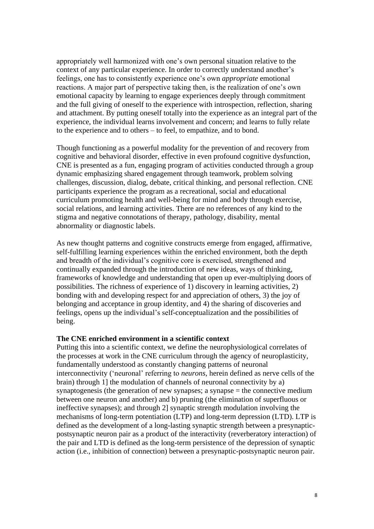appropriately well harmonized with one's own personal situation relative to the context of any particular experience. In order to correctly understand another's feelings, one has to consistently experience one's own *appropriate* emotional reactions. A major part of perspective taking then, is the realization of one's own emotional capacity by learning to engage experiences deeply through commitment and the full giving of oneself to the experience with introspection, reflection, sharing and attachment. By putting oneself totally into the experience as an integral part of the experience, the individual learns involvement and concern; and learns to fully relate to the experience and to others – to feel, to empathize, and to bond.

Though functioning as a powerful modality for the prevention of and recovery from cognitive and behavioral disorder, effective in even profound cognitive dysfunction, CNE is presented as a fun, engaging program of activities conducted through a group dynamic emphasizing shared engagement through teamwork, problem solving challenges, discussion, dialog, debate, critical thinking, and personal reflection. CNE participants experience the program as a recreational, social and educational curriculum promoting health and well-being for mind and body through exercise, social relations, and learning activities. There are no references of any kind to the stigma and negative connotations of therapy, pathology, disability, mental abnormality or diagnostic labels.

As new thought patterns and cognitive constructs emerge from engaged, affirmative, self-fulfilling learning experiences within the enriched environment, both the depth and breadth of the individual's cognitive core is exercised, strengthened and continually expanded through the introduction of new ideas, ways of thinking, frameworks of knowledge and understanding that open up ever-multiplying doors of possibilities. The richness of experience of 1) discovery in learning activities, 2) bonding with and developing respect for and appreciation of others, 3) the joy of belonging and acceptance in group identity, and 4) the sharing of discoveries and feelings, opens up the individual's self-conceptualization and the possibilities of being.

#### **The CNE enriched environment in a scientific context**

Putting this into a scientific context, we define the neurophysiological correlates of the processes at work in the CNE curriculum through the agency of neuroplasticity, fundamentally understood as constantly changing patterns of neuronal interconnectivity ('neuronal' referring to *neurons*, herein defined as nerve cells of the brain) through 1] the modulation of channels of neuronal connectivity by a) synaptogenesis (the generation of new synapses; a synapse = the connective medium between one neuron and another) and b) pruning (the elimination of superfluous or ineffective synapses); and through 2] synaptic strength modulation involving the mechanisms of long-term potentiation (LTP) and long-term depression (LTD). LTP is defined as the development of a long-lasting synaptic strength between a presynapticpostsynaptic neuron pair as a product of the interactivity (reverberatory interaction) of the pair and LTD is defined as the long-term persistence of the depression of synaptic action (i.e., inhibition of connection) between a presynaptic-postsynaptic neuron pair.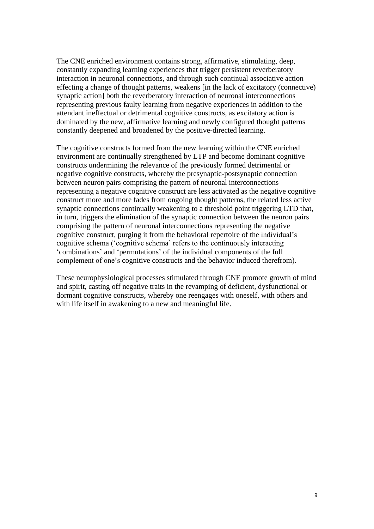The CNE enriched environment contains strong, affirmative, stimulating, deep, constantly expanding learning experiences that trigger persistent reverberatory interaction in neuronal connections, and through such continual associative action effecting a change of thought patterns, weakens [in the lack of excitatory (connective) synaptic action] both the reverberatory interaction of neuronal interconnections representing previous faulty learning from negative experiences in addition to the attendant ineffectual or detrimental cognitive constructs, as excitatory action is dominated by the new, affirmative learning and newly configured thought patterns constantly deepened and broadened by the positive-directed learning.

The cognitive constructs formed from the new learning within the CNE enriched environment are continually strengthened by LTP and become dominant cognitive constructs undermining the relevance of the previously formed detrimental or negative cognitive constructs, whereby the presynaptic-postsynaptic connection between neuron pairs comprising the pattern of neuronal interconnections representing a negative cognitive construct are less activated as the negative cognitive construct more and more fades from ongoing thought patterns, the related less active synaptic connections continually weakening to a threshold point triggering LTD that, in turn, triggers the elimination of the synaptic connection between the neuron pairs comprising the pattern of neuronal interconnections representing the negative cognitive construct, purging it from the behavioral repertoire of the individual's cognitive schema ('cognitive schema' refers to the continuously interacting 'combinations' and 'permutations' of the individual components of the full complement of one's cognitive constructs and the behavior induced therefrom).

These neurophysiological processes stimulated through CNE promote growth of mind and spirit, casting off negative traits in the revamping of deficient, dysfunctional or dormant cognitive constructs, whereby one reengages with oneself, with others and with life itself in awakening to a new and meaningful life.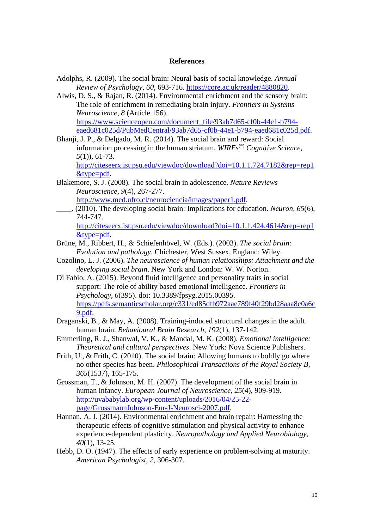### **References**

- Adolphs, R. (2009). The social brain: Neural basis of social knowledge. *Annual Review of Psychology*, *60*, 693-716. [https://core.ac.uk/reader/4880820.](https://core.ac.uk/reader/4880820)
- Alwis, D. S., & Rajan, R. (2014). Environmental enrichment and the sensory brain: The role of enrichment in remediating brain injury. *Frontiers in Systems Neuroscience*, *8* (Article 156). [https://www.scienceopen.com/document\\_file/93ab7d65-cf0b-44e1-b794](https://www.scienceopen.com/document_file/93ab7d65-cf0b-44e1-b794-eaed681c025d/PubMedCentral/93ab7d65-cf0b-44e1-b794-eaed681c025d.pdf) [eaed681c025d/PubMedCentral/93ab7d65-cf0b-44e1-b794-eaed681c025d.pdf.](https://www.scienceopen.com/document_file/93ab7d65-cf0b-44e1-b794-eaed681c025d/PubMedCentral/93ab7d65-cf0b-44e1-b794-eaed681c025d.pdf)
- Bhanji, J. P., & Delgado, M. R. (2014). The social brain and reward: Social information processing in the human striatum. *WIREs*(\*) *Cognitive Science*, *5*(1)), 61-73.

[http://citeseerx.ist.psu.edu/viewdoc/download?doi=10.1.1.724.7182&rep=rep1](http://citeseerx.ist.psu.edu/viewdoc/download?doi=10.1.1.724.7182&rep=rep1&type=pdf) [&type=pdf.](http://citeseerx.ist.psu.edu/viewdoc/download?doi=10.1.1.724.7182&rep=rep1&type=pdf)

Blakemore, S. J. (2008). The social brain in adolescence. *Nature Reviews Neuroscience*, *9*(4), 267-277.

[http://www.med.ufro.cl/neurociencia/images/paper1.pdf.](http://www.med.ufro.cl/neurociencia/images/paper1.pdf)

\_\_\_\_. (2010). The developing social brain: Implications for education. *Neuron*, *65*(6), 744-747.

[http://citeseerx.ist.psu.edu/viewdoc/download?doi=10.1.1.424.4614&rep=rep1](http://citeseerx.ist.psu.edu/viewdoc/download?doi=10.1.1.424.4614&rep=rep1&type=pdf) [&type=pdf.](http://citeseerx.ist.psu.edu/viewdoc/download?doi=10.1.1.424.4614&rep=rep1&type=pdf)

- Brüne, M., Ribbert, H., & Schiefenhövel, W. (Eds.). (2003). *The social brain: Evolution and pathology*. Chichester, West Sussex, England: Wiley.
- Cozolino, L. J. (2006). *The neuroscience of human relationships: Attachment and the developing social brain*. New York and London: W. W. Norton.
- Di Fabio, A. (2015). Beyond fluid intelligence and personality traits in social support: The role of ability based emotional intelligence. *Frontiers in Psychology*, *6*(395). doi: 10.3389/fpsyg.2015.00395. [https://pdfs.semanticscholar.org/c331/ed85dfb972aae789f40f29bd28aaa8c0a6c](https://pdfs.semanticscholar.org/c331/ed85dfb972aae789f40f29bd28aaa8c0a6c9.pdf) [9.pdf.](https://pdfs.semanticscholar.org/c331/ed85dfb972aae789f40f29bd28aaa8c0a6c9.pdf)
- Draganski, B., & May, A. (2008). Training-induced structural changes in the adult human brain. *Behavioural Brain Research*, *192*(1), 137-142.
- Emmerling, R. J., Shanwal, V. K., & Mandal, M. K. (2008). *Emotional intelligence: Theoretical and cultural perspectives*. New York: Nova Science Publishers.
- Frith, U., & Frith, C. (2010). The social brain: Allowing humans to boldly go where no other species has been. *Philosophical Transactions of the Royal Society B*, *365*(1537), 165-175.
- Grossman, T., & Johnson, M. H. (2007). The development of the social brain in human infancy. *European Journal of Neuroscience*, *25*(4), 909-919. [http://uvababylab.org/wp-content/uploads/2016/04/25-22](http://uvababylab.org/wp-content/uploads/2016/04/25-22-page/GrossmannJohnson-Eur-J-Neurosci-2007.pdf) [page/GrossmannJohnson-Eur-J-Neurosci-2007.pdf.](http://uvababylab.org/wp-content/uploads/2016/04/25-22-page/GrossmannJohnson-Eur-J-Neurosci-2007.pdf)
- Hannan, A. J. (2014). Environmental enrichment and brain repair: Harnessing the therapeutic effects of cognitive stimulation and physical activity to enhance experience-dependent plasticity. *Neuropathology and Applied Neurobiology*, *40*(1), 13-25.
- Hebb, D. O. (1947). The effects of early experience on problem-solving at maturity. *American Psychologist*, *2*, 306-307.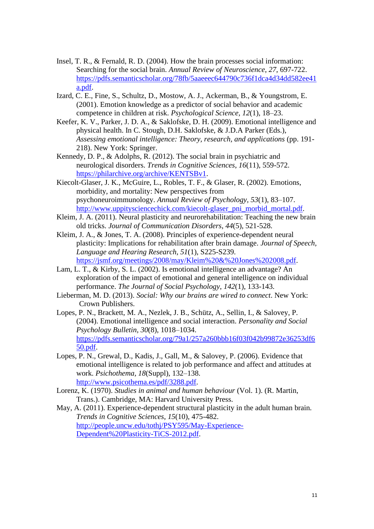- Insel, T. R., & Fernald, R. D. (2004). How the brain processes social information: Searching for the social brain. *Annual Review of Neuroscience*, *27*, 697-722. [https://pdfs.semanticscholar.org/78fb/5aaeeec644790c736f1dca4d34dd582ee41](https://pdfs.semanticscholar.org/78fb/5aaeeec644790c736f1dca4d34dd582ee41a.pdf) [a.pdf.](https://pdfs.semanticscholar.org/78fb/5aaeeec644790c736f1dca4d34dd582ee41a.pdf)
- Izard, C. E., Fine, S., Schultz, D., Mostow, A. J., Ackerman, B., & Youngstrom, E. (2001). Emotion knowledge as a predictor of social behavior and academic competence in children at risk. *Psychological Science, 12*(1), 18–23.
- Keefer, K. V., Parker, J. D. A., & Saklofske, D. H. (2009). Emotional intelligence and physical health. In C. Stough, D.H. Saklofske, & J.D.A Parker (Eds.), *Assessing emotional intelligence: Theory, research, and applications* (pp. 191- 218). New York: Springer.
- Kennedy, D. P., & Adolphs, R. (2012). The social brain in psychiatric and neurological disorders. *Trends in Cognitive Sciences*, *16*(11), 559-572. [https://philarchive.org/archive/KENTSBv1.](https://philarchive.org/archive/KENTSBv1)
- Kiecolt-Glaser, J. K., McGuire, L., Robles, T. F., & Glaser, R. (2002). Emotions, morbidity, and mortality: New perspectives from psychoneuroimmunology. *Annual Review of Psychology, 53*(1), 83–107. [http://www.uppitysciencechick.com/kiecolt-glaser\\_pni\\_morbid\\_mortal.pdf.](http://www.uppitysciencechick.com/kiecolt-glaser_pni_morbid_mortal.pdf)
- Kleim, J. A. (2011). Neural plasticity and neurorehabilitation: Teaching the new brain old tricks. *Journal of Communication Disorders*, *44*(5), 521-528.
- Kleim, J. A., & Jones, T. A. (2008). Principles of experience-dependent neural plasticity: Implications for rehabilitation after brain damage. *Journal of Speech, Language and Hearing Research*, *51*(1), S225-S239. [https://jsmf.org/meetings/2008/may/Kleim%20&%20Jones%202008.pdf.](https://jsmf.org/meetings/2008/may/Kleim%20&%20Jones%202008.pdf)
- Lam, L. T., & Kirby, S. L. (2002). Is emotional intelligence an advantage? An exploration of the impact of emotional and general intelligence on individual performance. *The Journal of Social Psychology*, *142*(1), 133-143.
- Lieberman, M. D. (2013). *Social: Why our brains are wired to connect*. New York: Crown Publishers.
- Lopes, P. N., Brackett, M. A., Nezlek, J. B., Schütz, A., Sellin, I., & Salovey, P. (2004). Emotional intelligence and social interaction. *Personality and Social Psychology Bulletin*, *30*(8), 1018–1034. [https://pdfs.semanticscholar.org/79a1/257a260bbb16f03f042b99872e36253df6](https://pdfs.semanticscholar.org/79a1/257a260bbb16f03f042b99872e36253df650.pdf) [50.pdf.](https://pdfs.semanticscholar.org/79a1/257a260bbb16f03f042b99872e36253df650.pdf)
- Lopes, P. N., Grewal, D., Kadis, J., Gall, M., & Salovey, P. (2006). Evidence that emotional intelligence is related to job performance and affect and attitudes at work. *Psichothema, 18*(Suppl), 132–138. [http://www.psicothema.es/pdf/3288.pdf.](http://www.psicothema.es/pdf/3288.pdf)
- Lorenz, K. (1970). *Studies in animal and human behaviour* (Vol. 1). (R. Martin, Trans.). Cambridge, MA: Harvard University Press.
- May, A. (2011). Experience-dependent structural plasticity in the adult human brain. *Trends in Cognitive Sciences*, *15*(10), 475-482. [http://people.uncw.edu/tothj/PSY595/May-Experience-](http://people.uncw.edu/tothj/PSY595/May-Experience-Dependent%20Plasticity-TiCS-2012.pdf)[Dependent%20Plasticity-TiCS-2012.pdf.](http://people.uncw.edu/tothj/PSY595/May-Experience-Dependent%20Plasticity-TiCS-2012.pdf)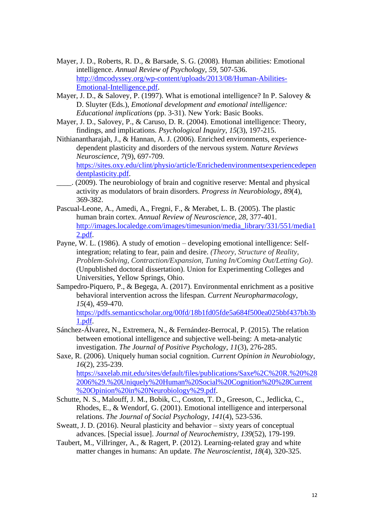- Mayer, J. D., Roberts, R. D., & Barsade, S. G. (2008). Human abilities: Emotional intelligence. *Annual Review of Psychology*, *59*, 507-536. [http://dmcodyssey.org/wp-content/uploads/2013/08/Human-Abilities-](http://dmcodyssey.org/wp-content/uploads/2013/08/Human-Abilities-Emotional-Intelligence.pdf)[Emotional-Intelligence.pdf.](http://dmcodyssey.org/wp-content/uploads/2013/08/Human-Abilities-Emotional-Intelligence.pdf)
- Mayer, J. D., & Salovey, P. (1997). What is emotional intelligence? In P. Salovey & D. Sluyter (Eds.), *Emotional development and emotional intelligence: Educational implications* (pp. 3-31). New York: Basic Books.
- Mayer, J. D., Salovey, P., & Caruso, D. R. (2004). Emotional intelligence: Theory, findings, and implications. *Psychological Inquiry*, *15*(3), 197-215.
- Nithianantharajah, J., & Hannan, A. J. (2006). Enriched environments, experiencedependent plasticity and disorders of the nervous system. *Nature Reviews Neuroscience*, *7*(9), 697-709.

[https://sites.oxy.edu/clint/physio/article/Enrichedenvironmentsexperiencedepen](https://sites.oxy.edu/clint/physio/article/Enrichedenvironmentsexperiencedependentplasticity.pdf) [dentplasticity.pdf.](https://sites.oxy.edu/clint/physio/article/Enrichedenvironmentsexperiencedependentplasticity.pdf)

- \_\_\_\_. (2009). The neurobiology of brain and cognitive reserve: Mental and physical activity as modulators of brain disorders. *Progress in Neurobiology*, *89*(4), 369-382.
- Pascual-Leone, A., Amedi, A., Fregni, F., & Merabet, L. B. (2005). The plastic human brain cortex. *Annual Review of Neuroscience*, *28*, 377-401. [http://images.localedge.com/images/timesunion/media\\_library/331/551/media1](http://images.localedge.com/images/timesunion/media_library/331/551/media12.pdf) [2.pdf.](http://images.localedge.com/images/timesunion/media_library/331/551/media12.pdf)
- Payne, W. L. (1986). A study of emotion developing emotional intelligence: Selfintegration; relating to fear, pain and desire. *(Theory, Structure of Reality, Problem-Solving, Contraction/Expansion, Tuning In/Coming Out/Letting Go)*. (Unpublished doctoral dissertation). Union for Experimenting Colleges and Universities, Yellow Springs, Ohio.
- Sampedro-Piquero, P., & Begega, A. (2017). Environmental enrichment as a positive behavioral intervention across the lifespan. *Current Neuropharmacology*, *15*(4), 459-470.

[https://pdfs.semanticscholar.org/00fd/18b1fd05fde5a684f500ea025bbf437bb3b](https://pdfs.semanticscholar.org/00fd/18b1fd05fde5a684f500ea025bbf437bb3b1.pdf) [1.pdf.](https://pdfs.semanticscholar.org/00fd/18b1fd05fde5a684f500ea025bbf437bb3b1.pdf)

- Sánchez-Álvarez, N., Extremera, N., & Fernández-Berrocal, P. (2015). The relation between emotional intelligence and subjective well-being: A meta-analytic investigation. *The Journal of Positive Psychology*, *11*(3), 276-285.
- Saxe, R. (2006). Uniquely human social cognition. *Current Opinion in Neurobiology*, *16*(2), 235-239. [https://saxelab.mit.edu/sites/default/files/publications/Saxe%2C%20R.%20%28](https://saxelab.mit.edu/sites/default/files/publications/Saxe%2C%20R.%20%282006%29.%20Uniquely%20Human%20Social%20Cognition%20%28Current%20Opinion%20in%20Neurobiology%29.pdf)

[2006%29.%20Uniquely%20Human%20Social%20Cognition%20%28Current](https://saxelab.mit.edu/sites/default/files/publications/Saxe%2C%20R.%20%282006%29.%20Uniquely%20Human%20Social%20Cognition%20%28Current%20Opinion%20in%20Neurobiology%29.pdf) [%20Opinion%20in%20Neurobiology%29.pdf.](https://saxelab.mit.edu/sites/default/files/publications/Saxe%2C%20R.%20%282006%29.%20Uniquely%20Human%20Social%20Cognition%20%28Current%20Opinion%20in%20Neurobiology%29.pdf)

- Schutte, N. S., Malouff, J. M., Bobik, C., Coston, T. D., Greeson, C., Jedlicka, C., Rhodes, E., & Wendorf, G. (2001). Emotional intelligence and interpersonal relations. *The Journal of Social Psychology*, *141*(4), 523-536.
- Sweatt, J. D. (2016). Neural plasticity and behavior sixty years of conceptual advances. [Special issue]. *Journal of Neurochemistry*, *139*(52), 179-199.
- Taubert, M., Villringer, A., & Ragert, P. (2012). Learning-related gray and white matter changes in humans: An update. *The Neuroscientist*, *18*(4), 320-325.